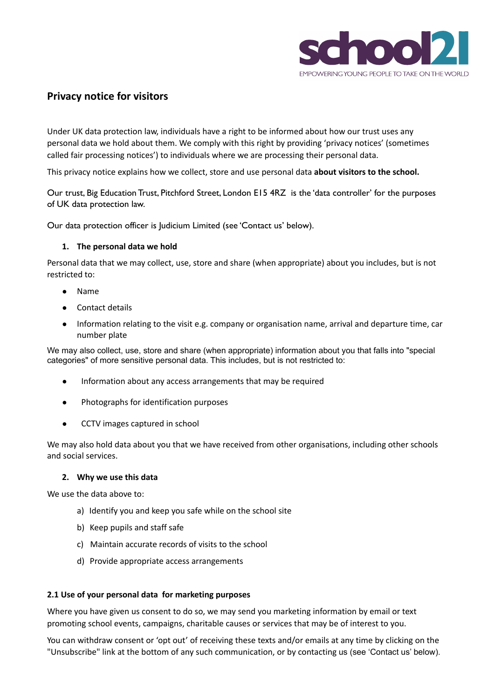

# **Privacy notice for visitors**

Under UK data protection law, individuals have a right to be informed about how our trust uses any personal data we hold about them. We comply with this right by providing 'privacy notices' (sometimes called fair processing notices') to individuals where we are processing their personal data.

This privacy notice explains how we collect, store and use personal data **about visitors to the school.**

Our trust, Big Education Trust, Pitchford Street, London E15 4RZ is the 'data controller' for the purposes of UK data protection law.

Our data protection officer is Judicium Limited (see 'Contact us' below).

#### **1. The personal data we hold**

Personal data that we may collect, use, store and share (when appropriate) about you includes, but is not restricted to:

- **Name**
- Contact details
- Information relating to the visit e.g. company or organisation name, arrival and departure time, car number plate

We may also collect, use, store and share (when appropriate) information about you that falls into "special categories" of more sensitive personal data. This includes, but is not restricted to:

- Information about any access arrangements that may be required
- Photographs for identification purposes
- CCTV images captured in school

We may also hold data about you that we have received from other organisations, including other schools and social services.

#### **2. Why we use this data**

We use the data above to:

- a) Identify you and keep you safe while on the school site
- b) Keep pupils and staff safe
- c) Maintain accurate records of visits to the school
- d) Provide appropriate access arrangements

#### **2.1 Use of your personal data for marketing purposes**

Where you have given us consent to do so, we may send you marketing information by email or text promoting school events, campaigns, charitable causes or services that may be of interest to you.

You can withdraw consent or 'opt out' of receiving these texts and/or emails at any time by clicking on the "Unsubscribe" link at the bottom of any such communication, or by contacting us (see 'Contact us' below).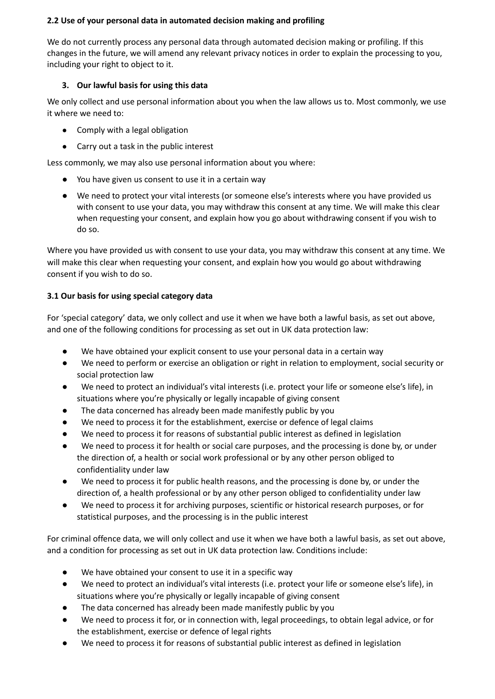### **2.2 Use of your personal data in automated decision making and profiling**

We do not currently process any personal data through automated decision making or profiling. If this changes in the future, we will amend any relevant privacy notices in order to explain the processing to you, including your right to object to it.

# **3. Our lawful basis for using this data**

We only collect and use personal information about you when the law allows us to. Most commonly, we use it where we need to:

- Comply with a legal obligation
- Carry out a task in the public interest

Less commonly, we may also use personal information about you where:

- You have given us consent to use it in a certain way
- We need to protect your vital interests (or someone else's interests where you have provided us with consent to use your data, you may withdraw this consent at any time. We will make this clear when requesting your consent, and explain how you go about withdrawing consent if you wish to do so.

Where you have provided us with consent to use your data, you may withdraw this consent at any time. We will make this clear when requesting your consent, and explain how you would go about withdrawing consent if you wish to do so.

# **3.1 Our basis for using special category data**

For 'special category' data, we only collect and use it when we have both a lawful basis, as set out above, and one of the following conditions for processing as set out in UK data protection law:

- We have obtained your explicit consent to use your personal data in a certain way
- We need to perform or exercise an obligation or right in relation to employment, social security or social protection law
- We need to protect an individual's vital interests (i.e. protect your life or someone else's life), in situations where you're physically or legally incapable of giving consent
- The data concerned has already been made manifestly public by you
- We need to process it for the establishment, exercise or defence of legal claims
- We need to process it for reasons of substantial public interest as defined in legislation
- We need to process it for health or social care purposes, and the processing is done by, or under the direction of, a health or social work professional or by any other person obliged to confidentiality under law
- We need to process it for public health reasons, and the processing is done by, or under the direction of, a health professional or by any other person obliged to confidentiality under law
- We need to process it for archiving purposes, scientific or historical research purposes, or for statistical purposes, and the processing is in the public interest

For criminal offence data, we will only collect and use it when we have both a lawful basis, as set out above, and a condition for processing as set out in UK data protection law. Conditions include:

- We have obtained your consent to use it in a specific way
- We need to protect an individual's vital interests (i.e. protect your life or someone else's life), in situations where you're physically or legally incapable of giving consent
- The data concerned has already been made manifestly public by you
- We need to process it for, or in connection with, legal proceedings, to obtain legal advice, or for the establishment, exercise or defence of legal rights
- We need to process it for reasons of substantial public interest as defined in legislation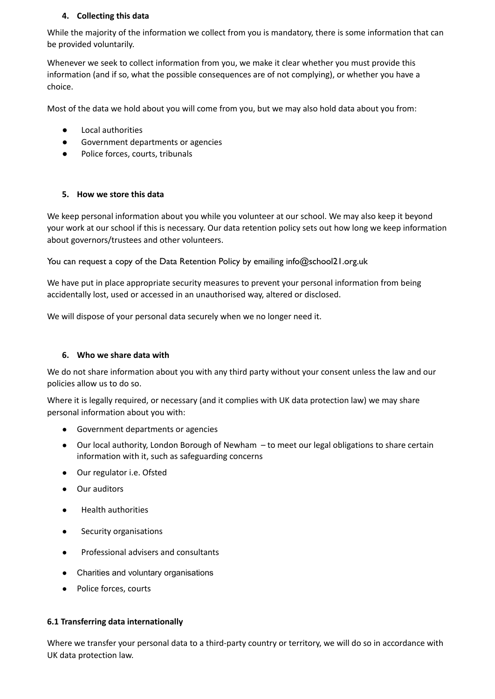# **4. Collecting this data**

While the majority of the information we collect from you is mandatory, there is some information that can be provided voluntarily.

Whenever we seek to collect information from you, we make it clear whether you must provide this information (and if so, what the possible consequences are of not complying), or whether you have a choice.

Most of the data we hold about you will come from you, but we may also hold data about you from:

- **Local authorities**
- Government departments or agencies
- Police forces, courts, tribunals

### **5. How we store this data**

We keep personal information about you while you volunteer at our school. We may also keep it beyond your work at our school if this is necessary. Our data retention policy sets out how long we keep information about governors/trustees and other volunteers.

You can request a copy of the Data Retention Policy by emailing info@school21.org.uk

We have put in place appropriate security measures to prevent your personal information from being accidentally lost, used or accessed in an unauthorised way, altered or disclosed.

We will dispose of your personal data securely when we no longer need it.

### **6. Who we share data with**

We do not share information about you with any third party without your consent unless the law and our policies allow us to do so.

Where it is legally required, or necessary (and it complies with UK data protection law) we may share personal information about you with:

- Government departments or agencies
- Our local authority, London Borough of Newham to meet our legal obligations to share certain information with it, such as safeguarding concerns
- Our regulator i.e. Ofsted
- Our auditors
- **Health authorities**
- Security organisations
- Professional advisers and consultants
- Charities and voluntary organisations
- Police forces, courts

#### **6.1 Transferring data internationally**

Where we transfer your personal data to a third-party country or territory, we will do so in accordance with UK data protection law.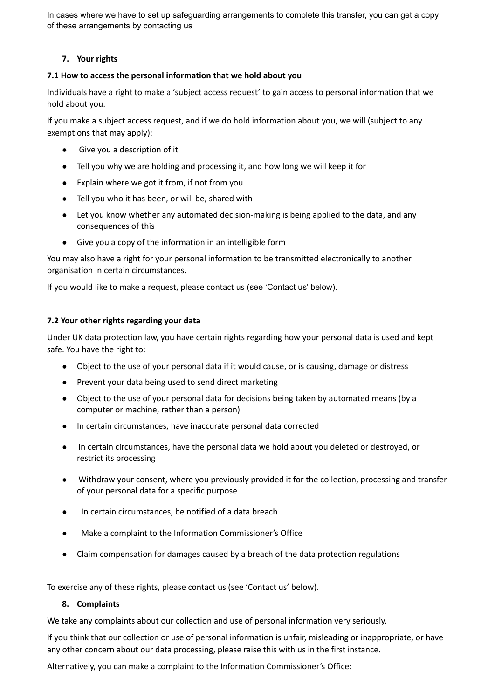In cases where we have to set up safeguarding arrangements to complete this transfer, you can get a copy of these arrangements by contacting us

# **7. Your rights**

### **7.1 How to access the personal information that we hold about you**

Individuals have a right to make a 'subject access request' to gain access to personal information that we hold about you.

If you make a subject access request, and if we do hold information about you, we will (subject to any exemptions that may apply):

- Give you a description of it
- Tell you why we are holding and processing it, and how long we will keep it for
- Explain where we got it from, if not from you
- Tell you who it has been, or will be, shared with
- Let you know whether any automated decision-making is being applied to the data, and any consequences of this
- Give you a copy of the information in an intelligible form

You may also have a right for your personal information to be transmitted electronically to another organisation in certain circumstances.

If you would like to make a request, please contact us (see 'Contact us' below).

#### **7.2 Your other rights regarding your data**

Under UK data protection law, you have certain rights regarding how your personal data is used and kept safe. You have the right to:

- Object to the use of your personal data if it would cause, or is causing, damage or distress
- Prevent your data being used to send direct marketing
- Object to the use of your personal data for decisions being taken by automated means (by a computer or machine, rather than a person)
- In certain circumstances, have inaccurate personal data corrected
- In certain circumstances, have the personal data we hold about you deleted or destroyed, or restrict its processing
- Withdraw your consent, where you previously provided it for the collection, processing and transfer of your personal data for a specific purpose
- In certain circumstances, be notified of a data breach
- Make a complaint to the Information Commissioner's Office
- Claim compensation for damages caused by a breach of the data protection regulations

To exercise any of these rights, please contact us (see 'Contact us' below).

### **8. Complaints**

We take any complaints about our collection and use of personal information very seriously.

If you think that our collection or use of personal information is unfair, misleading or inappropriate, or have any other concern about our data processing, please raise this with us in the first instance.

Alternatively, you can make a complaint to the Information Commissioner's Office: